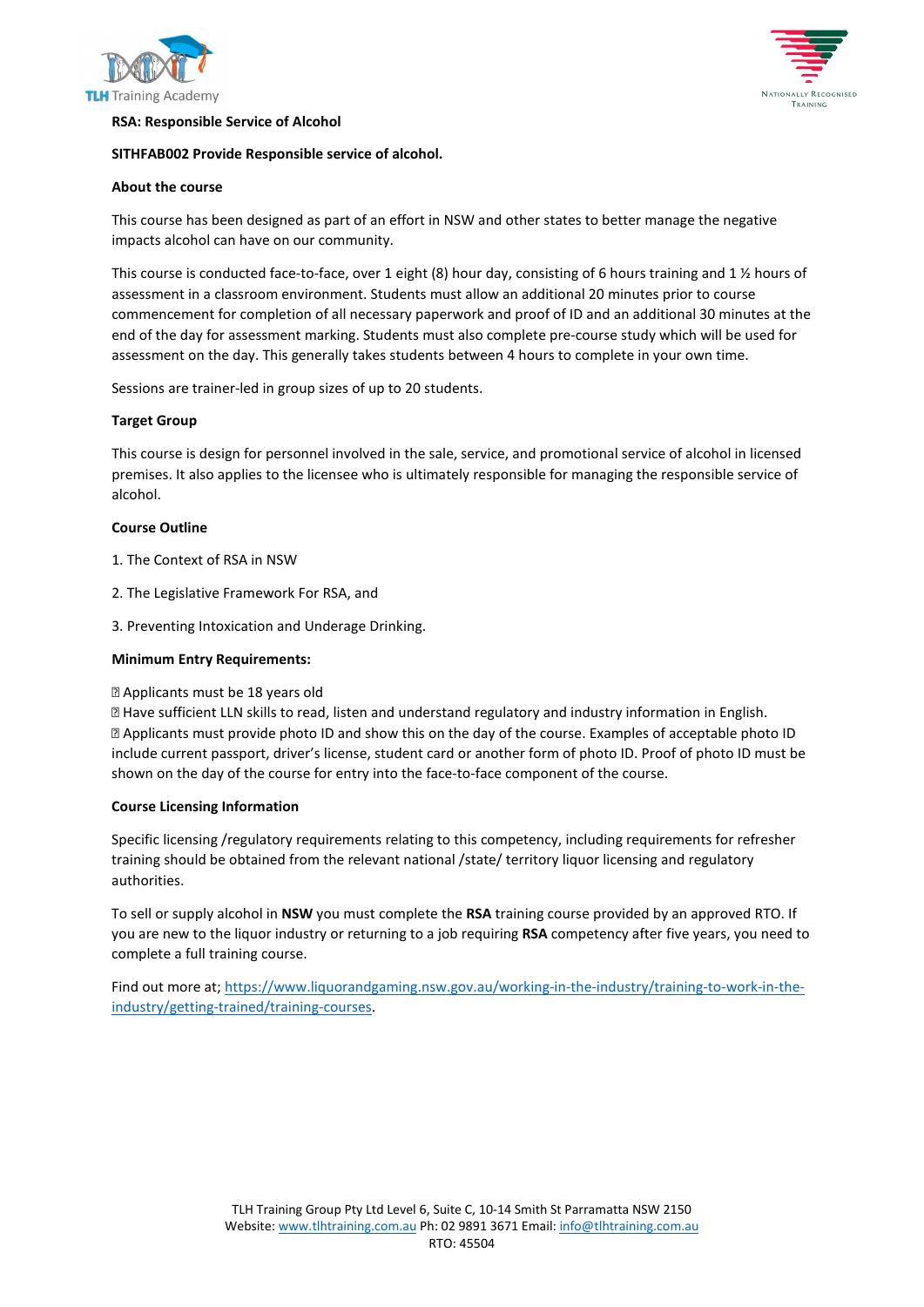





# **RSA: Responsible Service of Alcohol**

# **SITHFAB002 Provide Responsible service of alcohol.**

# **About the course**

This course has been designed as part of an effort in NSW and other states to better manage the negative impacts alcohol can have on our community.

This course is conducted face-to-face, over 1 eight (8) hour day, consisting of 6 hours training and 1 ½ hours of assessment in a classroom environment. Students must allow an additional 20 minutes prior to course commencement for completion of all necessary paperwork and proof of ID and an additional 30 minutes at the end of the day for assessment marking. Students must also complete pre-course study which will be used for assessment on the day. This generally takes students between 4 hours to complete in your own time.

Sessions are trainer-led in group sizes of up to 20 students.

# **Target Group**

This course is design for personnel involved in the sale, service, and promotional service of alcohol in licensed premises. It also applies to the licensee who is ultimately responsible for managing the responsible service of alcohol.

# **Course Outline**

- 1. The Context of RSA in NSW
- 2. The Legislative Framework For RSA, and
- 3. Preventing Intoxication and Underage Drinking.

# **Minimum Entry Requirements:**

# Applicants must be 18 years old

 Have sufficient LLN skills to read, listen and understand regulatory and industry information in English. Applicants must provide photo ID and show this on the day of the course. Examples of acceptable photo ID include current passport, driver's license, student card or another form of photo ID. Proof of photo ID must be shown on the day of the course for entry into the face-to-face component of the course.

# **Course Licensing Information**

Specific licensing /regulatory requirements relating to this competency, including requirements for refresher training should be obtained from the relevant national /state/ territory liquor licensing and regulatory authorities.

To sell or supply alcohol in **NSW** you must complete the **RSA** training course provided by an approved RTO. If you are new to the liquor industry or returning to a job requiring **RSA** competency after five years, you need to complete a full training course.

Find out more at; [https://www.liquorandgaming.nsw.gov.au/working-in-the-industry/training-to-work-in-the](https://www.liquorandgaming.nsw.gov.au/working-in-the-industry/training-to-work-in-the-industry/getting-trained/training-courses)[industry/getting-trained/training-courses.](https://www.liquorandgaming.nsw.gov.au/working-in-the-industry/training-to-work-in-the-industry/getting-trained/training-courses)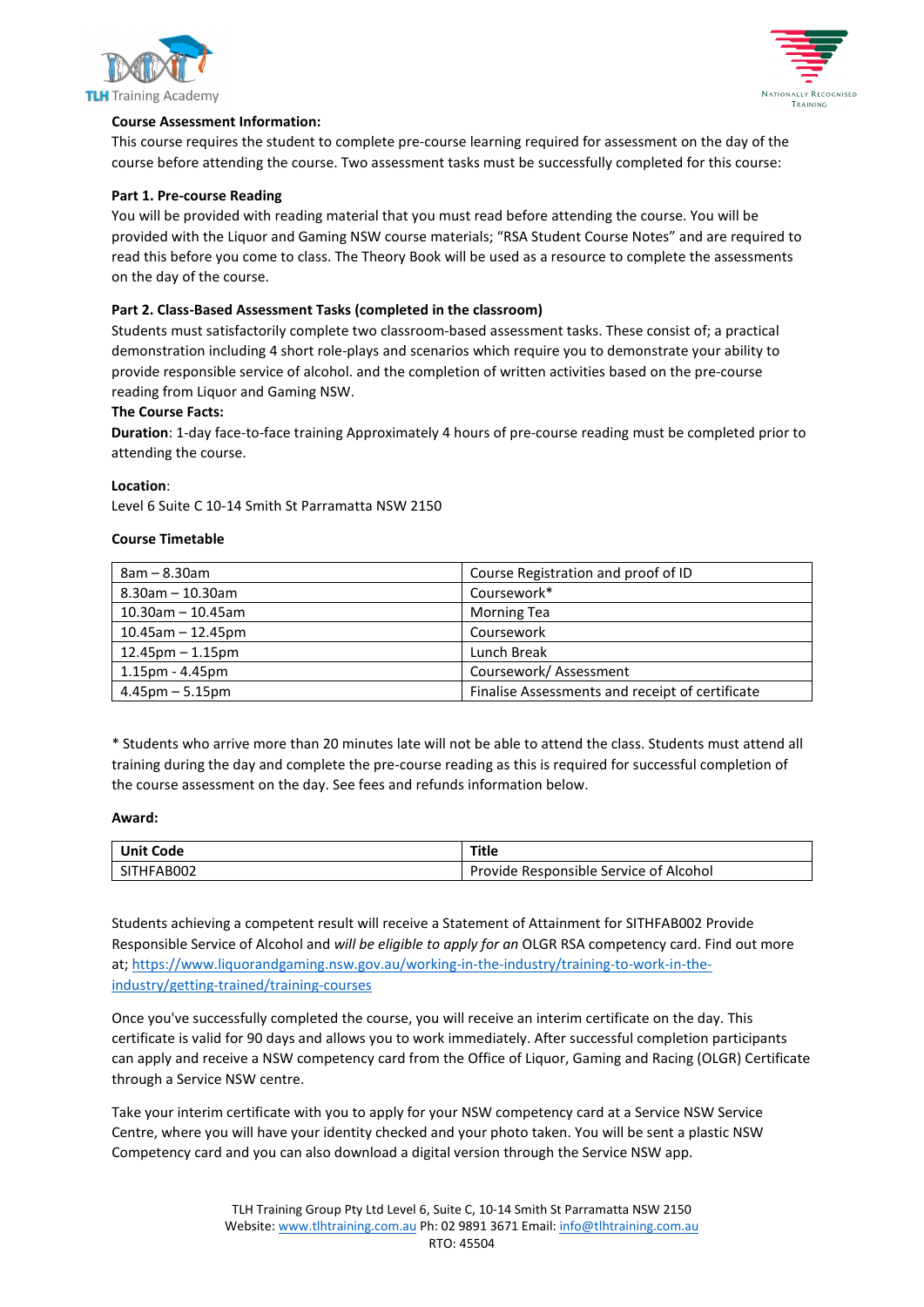



# **Course Assessment Information:**

This course requires the student to complete pre-course learning required for assessment on the day of the course before attending the course. Two assessment tasks must be successfully completed for this course:

### **Part 1. Pre-course Reading**

You will be provided with reading material that you must read before attending the course. You will be provided with the Liquor and Gaming NSW course materials; "RSA Student Course Notes" and are required to read this before you come to class. The Theory Book will be used as a resource to complete the assessments on the day of the course.

### **Part 2. Class-Based Assessment Tasks (completed in the classroom)**

Students must satisfactorily complete two classroom-based assessment tasks. These consist of; a practical demonstration including 4 short role-plays and scenarios which require you to demonstrate your ability to provide responsible service of alcohol. and the completion of written activities based on the pre-course reading from Liquor and Gaming NSW.

### **The Course Facts:**

**Duration**: 1-day face-to-face training Approximately 4 hours of pre-course reading must be completed prior to attending the course.

#### **Location**:

Level 6 Suite C 10-14 Smith St Parramatta NSW 2150

#### **Course Timetable**

| $8am - 8.30am$        | Course Registration and proof of ID             |
|-----------------------|-------------------------------------------------|
| $8.30$ am - 10.30am   | Coursework*                                     |
| $10.30$ am - 10.45am  | <b>Morning Tea</b>                              |
| $10.45$ am - 12.45pm  | Coursework                                      |
| $12.45$ pm – 1.15pm   | Lunch Break                                     |
| $1.15$ pm - $4.45$ pm | Coursework/Assessment                           |
| $4.45$ pm $-5.15$ pm  | Finalise Assessments and receipt of certificate |

\* Students who arrive more than 20 minutes late will not be able to attend the class. Students must attend all training during the day and complete the pre-course reading as this is required for successful completion of the course assessment on the day. See fees and refunds information below.

#### **Award:**

| <b>Unit Code</b> | Title                                  |
|------------------|----------------------------------------|
| SITHFAB002       | Provide Responsible Service of Alcohol |

Students achieving a competent result will receive a Statement of Attainment for SITHFAB002 Provide Responsible Service of Alcohol and *will be eligible to apply for an* OLGR RSA competency card. Find out more at; [https://www.liquorandgaming.nsw.gov.au/working-in-the-industry/training-to-work-in-the](https://www.liquorandgaming.nsw.gov.au/working-in-the-industry/training-to-work-in-the-industry/getting-trained/training-courses)[industry/getting-trained/training-courses](https://www.liquorandgaming.nsw.gov.au/working-in-the-industry/training-to-work-in-the-industry/getting-trained/training-courses)

Once you've successfully completed the course, you will receive an interim certificate on the day. This certificate is valid for 90 days and allows you to work immediately. After successful completion participants can apply and receive a NSW competency card from the Office of Liquor, Gaming and Racing (OLGR) Certificate through a Service NSW centre.

Take your interim certificate with you to apply for your NSW competency card at a Service NSW Service Centre, where you will have your identity checked and your photo taken. You will be sent a plastic NSW Competency card and you can also download a digital version through the Service NSW app.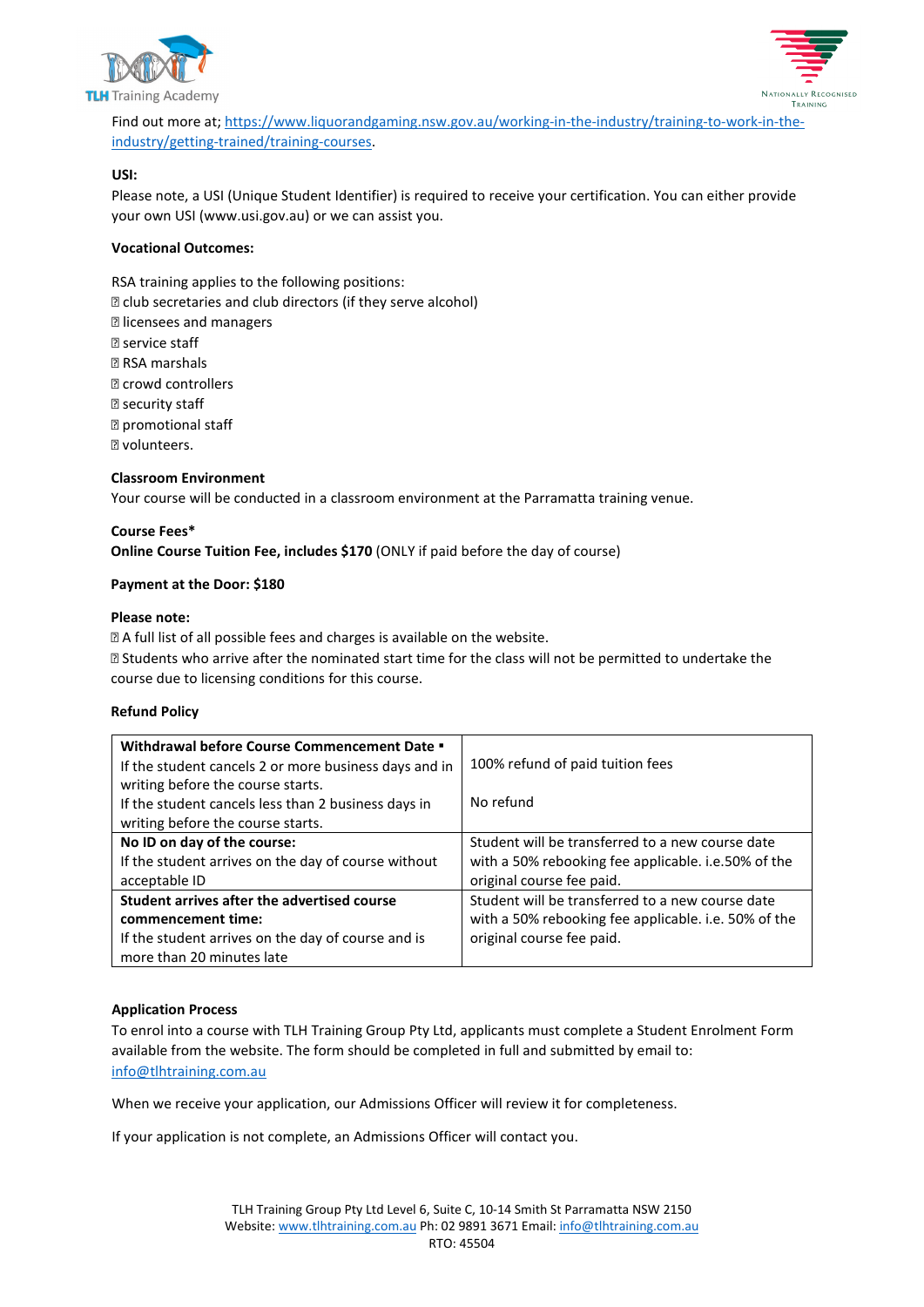



Find out more at; [https://www.liquorandgaming.nsw.gov.au/working-in-the-industry/training-to-work-in-the](https://www.liquorandgaming.nsw.gov.au/working-in-the-industry/training-to-work-in-the-industry/getting-trained/training-courses)[industry/getting-trained/training-courses.](https://www.liquorandgaming.nsw.gov.au/working-in-the-industry/training-to-work-in-the-industry/getting-trained/training-courses)

# **USI:**

Please note, a USI (Unique Student Identifier) is required to receive your certification. You can either provide your own USI (www.usi.gov.au) or we can assist you.

# **Vocational Outcomes:**

RSA training applies to the following positions:  $\mathbb E$  club secretaries and club directors (if they serve alcohol) licensees and managers **R** service staff **RSA** marshals **Z** crowd controllers **2** security staff promotional staff **Z** volunteers.

# **Classroom Environment**

Your course will be conducted in a classroom environment at the Parramatta training venue.

# **Course Fees\***

**Online Course Tuition Fee, includes \$170** (ONLY if paid before the day of course)

# **Payment at the Door: \$180**

# **Please note:**

A full list of all possible fees and charges is available on the website.

 Students who arrive after the nominated start time for the class will not be permitted to undertake the course due to licensing conditions for this course.

# **Refund Policy**

| Withdrawal before Course Commencement Date .          |                                                      |
|-------------------------------------------------------|------------------------------------------------------|
| If the student cancels 2 or more business days and in | 100% refund of paid tuition fees                     |
| writing before the course starts.                     | No refund                                            |
| If the student cancels less than 2 business days in   |                                                      |
| writing before the course starts.                     |                                                      |
| No ID on day of the course:                           | Student will be transferred to a new course date     |
| If the student arrives on the day of course without   | with a 50% rebooking fee applicable. i.e.50% of the  |
| acceptable ID                                         | original course fee paid.                            |
| Student arrives after the advertised course           | Student will be transferred to a new course date     |
| commencement time:                                    | with a 50% rebooking fee applicable. i.e. 50% of the |
| If the student arrives on the day of course and is    | original course fee paid.                            |
| more than 20 minutes late                             |                                                      |

# **Application Process**

To enrol into a course with TLH Training Group Pty Ltd, applicants must complete a Student Enrolment Form available from the website. The form should be completed in full and submitted by email to: [info@tlhtraining.com.au](mailto:info@tlhtraining.com.au)

When we receive your application, our Admissions Officer will review it for completeness.

If your application is not complete, an Admissions Officer will contact you.